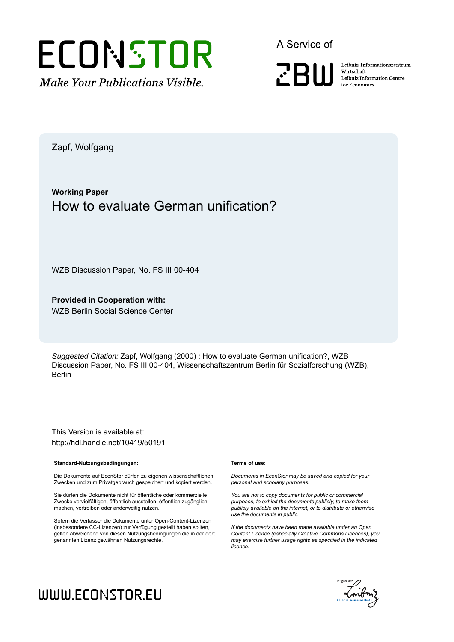

A Service of

**PRIII** 

Leibniz-Informationszentrum Wirtschaft Leibniz Information Centre for Economics

Zapf, Wolfgang

#### **Working Paper** How to evaluate German unification?

WZB Discussion Paper, No. FS III 00-404

**Provided in Cooperation with:** WZB Berlin Social Science Center

*Suggested Citation:* Zapf, Wolfgang (2000) : How to evaluate German unification?, WZB Discussion Paper, No. FS III 00-404, Wissenschaftszentrum Berlin für Sozialforschung (WZB), Berlin

This Version is available at: http://hdl.handle.net/10419/50191

#### **Standard-Nutzungsbedingungen:**

Die Dokumente auf EconStor dürfen zu eigenen wissenschaftlichen Zwecken und zum Privatgebrauch gespeichert und kopiert werden.

Sie dürfen die Dokumente nicht für öffentliche oder kommerzielle Zwecke vervielfältigen, öffentlich ausstellen, öffentlich zugänglich machen, vertreiben oder anderweitig nutzen.

Sofern die Verfasser die Dokumente unter Open-Content-Lizenzen (insbesondere CC-Lizenzen) zur Verfügung gestellt haben sollten, gelten abweichend von diesen Nutzungsbedingungen die in der dort genannten Lizenz gewährten Nutzungsrechte.

#### **Terms of use:**

*Documents in EconStor may be saved and copied for your personal and scholarly purposes.*

*You are not to copy documents for public or commercial purposes, to exhibit the documents publicly, to make them publicly available on the internet, or to distribute or otherwise use the documents in public.*

*If the documents have been made available under an Open Content Licence (especially Creative Commons Licences), you may exercise further usage rights as specified in the indicated licence.*



# WWW.ECONSTOR.EU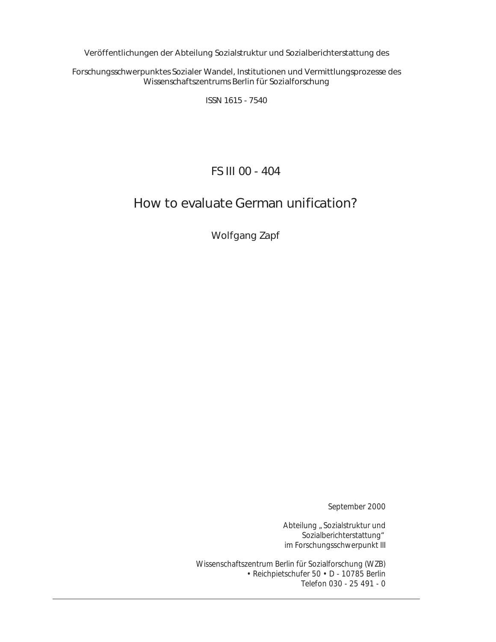Veröffentlichungen der Abteilung *Sozialstruktur und Sozialberichterstattung* des

Forschungsschwerpunktes *Sozialer Wandel, Institutionen und Vermittlungsprozesse* des Wissenschaftszentrums Berlin für Sozialforschung

ISSN 1615 - 7540

FS III 00 - 404

## How to evaluate German unification?

Wolfgang Zapf

September 2000

Abteilung "Sozialstruktur und Sozialberichterstattung" im Forschungsschwerpunkt III

Wissenschaftszentrum Berlin für Sozialforschung (WZB) • Reichpietschufer 50 • D - 10785 Berlin Telefon 030 - 25 491 - 0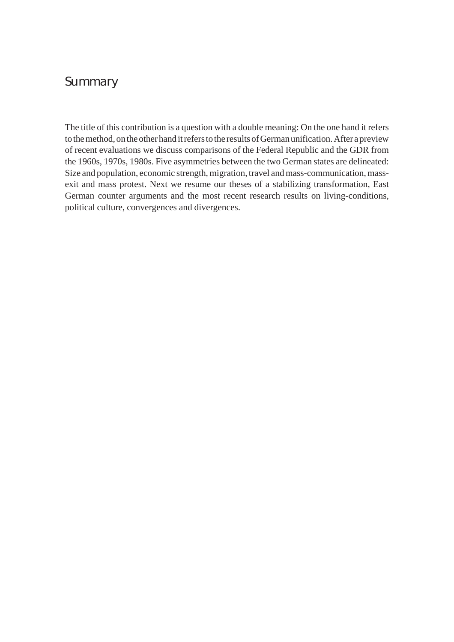## Summary

The title of this contribution is a question with a double meaning: On the one hand it refers to the method, on the other hand it refers to the results of German unification. After a preview of recent evaluations we discuss comparisons of the Federal Republic and the GDR from the 1960s, 1970s, 1980s. Five asymmetries between the two German states are delineated: Size and population, economic strength, migration, travel and mass-communication, massexit and mass protest. Next we resume our theses of a stabilizing transformation, East German counter arguments and the most recent research results on living-conditions, political culture, convergences and divergences.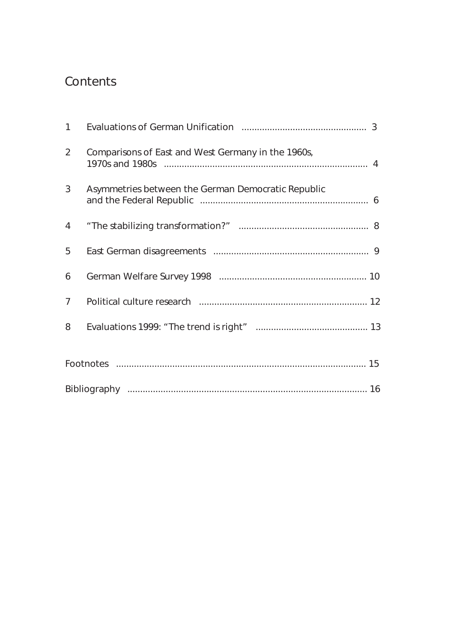# **Contents**

| $\mathbf{1}$   |                                                    |  |
|----------------|----------------------------------------------------|--|
| $\overline{2}$ | Comparisons of East and West Germany in the 1960s, |  |
| 3              | Asymmetries between the German Democratic Republic |  |
| 4              |                                                    |  |
| 5              |                                                    |  |
| 6              |                                                    |  |
| 7 <sup>1</sup> |                                                    |  |
| 8              |                                                    |  |
|                |                                                    |  |
|                |                                                    |  |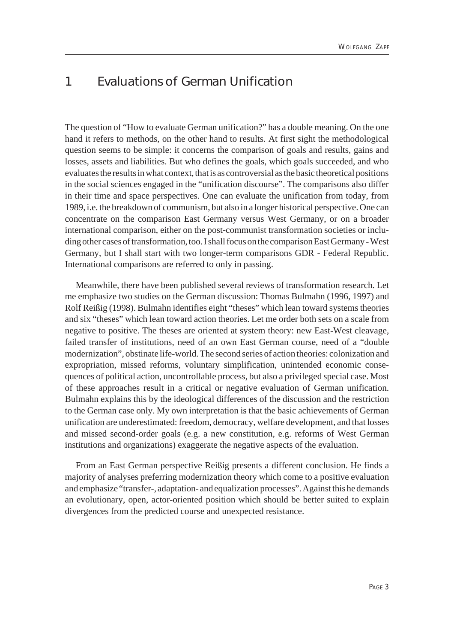#### 1 Evaluations of German Unification

The question of "How to evaluate German unification?" has a double meaning. On the one hand it refers to methods, on the other hand to results. At first sight the methodological question seems to be simple: it concerns the comparison of goals and results, gains and losses, assets and liabilities. But who defines the goals, which goals succeeded, and who evaluates the results in what context, that is as controversial as the basic theoretical positions in the social sciences engaged in the "unification discourse". The comparisons also differ in their time and space perspectives. One can evaluate the unification from today, from 1989, i.e. the breakdown of communism, but also in a longer historical perspective. One can concentrate on the comparison East Germany versus West Germany, or on a broader international comparison, either on the post-communist transformation societies or including other cases of transformation, too. I shall focus on the comparison East Germany - West Germany, but I shall start with two longer-term comparisons GDR - Federal Republic. International comparisons are referred to only in passing.

Meanwhile, there have been published several reviews of transformation research. Let me emphasize two studies on the German discussion: Thomas Bulmahn (1996, 1997) and Rolf Reißig (1998). Bulmahn identifies eight "theses" which lean toward systems theories and six "theses" which lean toward action theories. Let me order both sets on a scale from negative to positive. The theses are oriented at system theory: new East-West cleavage, failed transfer of institutions, need of an own East German course, need of a "double modernization", obstinate life-world. The second series of action theories: colonization and expropriation, missed reforms, voluntary simplification, unintended economic consequences of political action, uncontrollable process, but also a privileged special case. Most of these approaches result in a critical or negative evaluation of German unification. Bulmahn explains this by the ideological differences of the discussion and the restriction to the German case only. My own interpretation is that the basic achievements of German unification are underestimated: freedom, democracy, welfare development, and that losses and missed second-order goals (e.g. a new constitution, e.g. reforms of West German institutions and organizations) exaggerate the negative aspects of the evaluation.

From an East German perspective Reißig presents a different conclusion. He finds a majority of analyses preferring modernization theory which come to a positive evaluation and emphasize "transfer-, adaptation- and equalization processes". Against this he demands an evolutionary, open, actor-oriented position which should be better suited to explain divergences from the predicted course and unexpected resistance.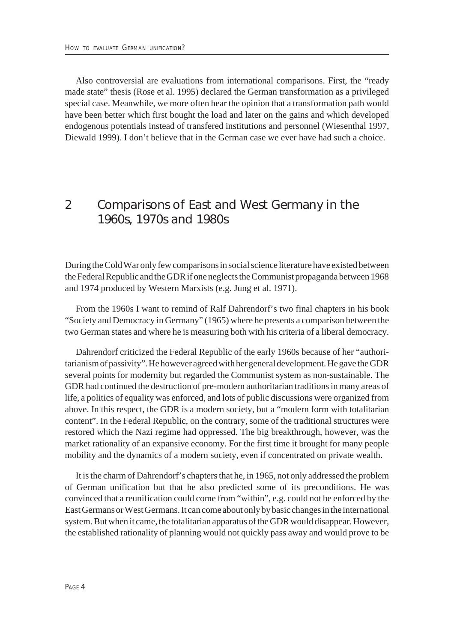Also controversial are evaluations from international comparisons. First, the "ready made state" thesis (Rose et al. 1995) declared the German transformation as a privileged special case. Meanwhile, we more often hear the opinion that a transformation path would have been better which first bought the load and later on the gains and which developed endogenous potentials instead of transfered institutions and personnel (Wiesenthal 1997, Diewald 1999). I don't believe that in the German case we ever have had such a choice.

#### 2 Comparisons of East and West Germany in the 1960s, 1970s and 1980s

During the Cold War only few comparisons in social science literature have existed between the Federal Republic and the GDR if one neglects the Communist propaganda between 1968 and 1974 produced by Western Marxists (e.g. Jung et al. 1971).

From the 1960s I want to remind of Ralf Dahrendorf's two final chapters in his book "Society and Democracy in Germany" (1965) where he presents a comparison between the two German states and where he is measuring both with his criteria of a liberal democracy.

Dahrendorf criticized the Federal Republic of the early 1960s because of her "authoritarianism of passivity". He however agreed with her general development. He gave the GDR several points for modernity but regarded the Communist system as non-sustainable. The GDR had continued the destruction of pre-modern authoritarian traditions in many areas of life, a politics of equality was enforced, and lots of public discussions were organized from above. In this respect, the GDR is a modern society, but a "modern form with totalitarian content". In the Federal Republic, on the contrary, some of the traditional structures were restored which the Nazi regime had oppressed. The big breakthrough, however, was the market rationality of an expansive economy. For the first time it brought for many people mobility and the dynamics of a modern society, even if concentrated on private wealth.

It is the charm of Dahrendorf's chapters that he, in 1965, not only addressed the problem of German unification but that he also predicted some of its preconditions. He was convinced that a reunification could come from "within", e.g. could not be enforced by the East Germans or West Germans. It can come about only by basic changes in the international system. But when it came, the totalitarian apparatus of the GDR would disappear. However, the established rationality of planning would not quickly pass away and would prove to be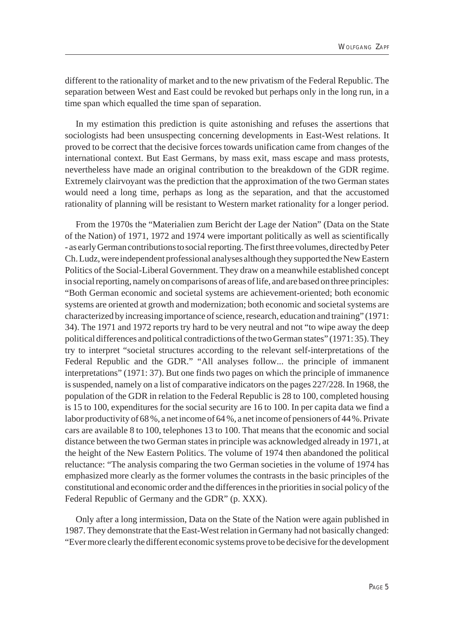different to the rationality of market and to the new privatism of the Federal Republic. The separation between West and East could be revoked but perhaps only in the long run, in a time span which equalled the time span of separation.

In my estimation this prediction is quite astonishing and refuses the assertions that sociologists had been unsuspecting concerning developments in East-West relations. It proved to be correct that the decisive forces towards unification came from changes of the international context. But East Germans, by mass exit, mass escape and mass protests, nevertheless have made an original contribution to the breakdown of the GDR regime. Extremely clairvoyant was the prediction that the approximation of the two German states would need a long time, perhaps as long as the separation, and that the accustomed rationality of planning will be resistant to Western market rationality for a longer period.

From the 1970s the "Materialien zum Bericht der Lage der Nation" (Data on the State of the Nation) of 1971, 1972 and 1974 were important politically as well as scientifically - as early German contributions to social reporting. The first three volumes, directed by Peter Ch. Ludz, were independent professional analyses although they supported the New Eastern Politics of the Social-Liberal Government. They draw on a meanwhile established concept in social reporting, namely on comparisons of areas of life, and are based on three principles: "Both German economic and societal systems are achievement-oriented; both economic systems are oriented at growth and modernization; both economic and societal systems are characterized by increasing importance of science, research, education and training" (1971: 34). The 1971 and 1972 reports try hard to be very neutral and not "to wipe away the deep political differences and political contradictions of the two German states" (1971: 35). They try to interpret "societal structures according to the relevant self-interpretations of the Federal Republic and the GDR." "All analyses follow... the principle of immanent interpretations" (1971: 37). But one finds two pages on which the principle of immanence is suspended, namely on a list of comparative indicators on the pages 227/228. In 1968, the population of the GDR in relation to the Federal Republic is 28 to 100, completed housing is 15 to 100, expenditures for the social security are 16 to 100. In per capita data we find a labor productivity of 68 %, a net income of 64 %, a net income of pensioners of 44 %. Private cars are available 8 to 100, telephones 13 to 100. That means that the economic and social distance between the two German states in principle was acknowledged already in 1971, at the height of the New Eastern Politics. The volume of 1974 then abandoned the political reluctance: "The analysis comparing the two German societies in the volume of 1974 has emphasized more clearly as the former volumes the contrasts in the basic principles of the constitutional and economic order and the differences in the priorities in social policy of the Federal Republic of Germany and the GDR" (p. XXX).

Only after a long intermission, Data on the State of the Nation were again published in 1987. They demonstrate that the East-West relation in Germany had not basically changed: "Ever more clearly the different economic systems prove to be decisive for the development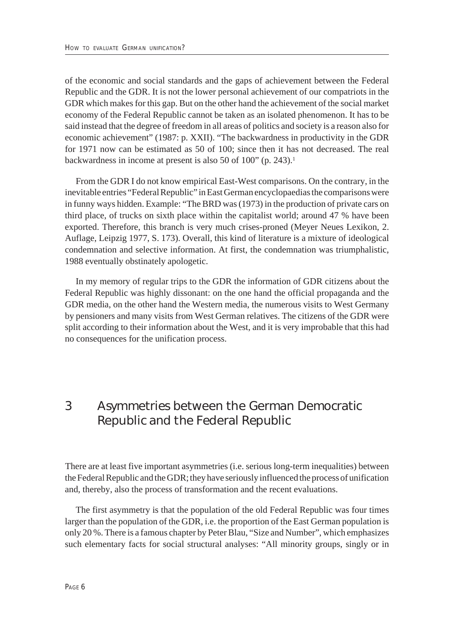of the economic and social standards and the gaps of achievement between the Federal Republic and the GDR. It is not the lower personal achievement of our compatriots in the GDR which makes for this gap. But on the other hand the achievement of the social market economy of the Federal Republic cannot be taken as an isolated phenomenon. It has to be said instead that the degree of freedom in all areas of politics and society is a reason also for economic achievement" (1987: p. XXII). "The backwardness in productivity in the GDR for 1971 now can be estimated as 50 of 100; since then it has not decreased. The real backwardness in income at present is also 50 of 100" (p. 243).<sup>1</sup>

From the GDR I do not know empirical East-West comparisons. On the contrary, in the inevitable entries "Federal Republic" in East German encyclopaedias the comparisons were in funny ways hidden. Example: "The BRD was (1973) in the production of private cars on third place, of trucks on sixth place within the capitalist world; around 47 % have been exported. Therefore, this branch is very much crises-proned (Meyer Neues Lexikon, 2. Auflage, Leipzig 1977, S. 173). Overall, this kind of literature is a mixture of ideological condemnation and selective information. At first, the condemnation was triumphalistic, 1988 eventually obstinately apologetic.

In my memory of regular trips to the GDR the information of GDR citizens about the Federal Republic was highly dissonant: on the one hand the official propaganda and the GDR media, on the other hand the Western media, the numerous visits to West Germany by pensioners and many visits from West German relatives. The citizens of the GDR were split according to their information about the West, and it is very improbable that this had no consequences for the unification process.

### 3 Asymmetries between the German Democratic Republic and the Federal Republic

There are at least five important asymmetries (i.e. serious long-term inequalities) between the Federal Republic and the GDR; they have seriously influenced the process of unification and, thereby, also the process of transformation and the recent evaluations.

The first asymmetry is that the population of the old Federal Republic was four times larger than the population of the GDR, i.e. the proportion of the East German population is only 20 %. There is a famous chapter by Peter Blau, "Size and Number", which emphasizes such elementary facts for social structural analyses: "All minority groups, singly or in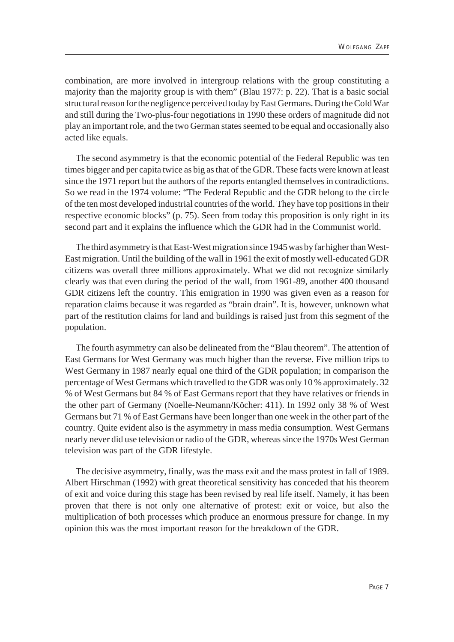combination, are more involved in intergroup relations with the group constituting a majority than the majority group is with them" (Blau 1977: p. 22). That is a basic social structural reason for the negligence perceived today by East Germans. During the Cold War and still during the Two-plus-four negotiations in 1990 these orders of magnitude did not play an important role, and the two German states seemed to be equal and occasionally also acted like equals.

The second asymmetry is that the economic potential of the Federal Republic was ten times bigger and per capita twice as big as that of the GDR. These facts were known at least since the 1971 report but the authors of the reports entangled themselves in contradictions. So we read in the 1974 volume: "The Federal Republic and the GDR belong to the circle of the ten most developed industrial countries of the world. They have top positions in their respective economic blocks" (p. 75). Seen from today this proposition is only right in its second part and it explains the influence which the GDR had in the Communist world.

The third asymmetry is that East-West migration since 1945 was by far higher than West-East migration. Until the building of the wall in 1961 the exit of mostly well-educated GDR citizens was overall three millions approximately. What we did not recognize similarly clearly was that even during the period of the wall, from 1961-89, another 400 thousand GDR citizens left the country. This emigration in 1990 was given even as a reason for reparation claims because it was regarded as "brain drain". It is, however, unknown what part of the restitution claims for land and buildings is raised just from this segment of the population.

The fourth asymmetry can also be delineated from the "Blau theorem". The attention of East Germans for West Germany was much higher than the reverse. Five million trips to West Germany in 1987 nearly equal one third of the GDR population; in comparison the percentage of West Germans which travelled to the GDR was only 10 % approximately. 32 % of West Germans but 84 % of East Germans report that they have relatives or friends in the other part of Germany (Noelle-Neumann/Köcher: 411). In 1992 only 38 % of West Germans but 71 % of East Germans have been longer than one week in the other part of the country. Quite evident also is the asymmetry in mass media consumption. West Germans nearly never did use television or radio of the GDR, whereas since the 1970s West German television was part of the GDR lifestyle.

The decisive asymmetry, finally, was the mass exit and the mass protest in fall of 1989. Albert Hirschman (1992) with great theoretical sensitivity has conceded that his theorem of exit and voice during this stage has been revised by real life itself. Namely, it has been proven that there is not only one alternative of protest: exit or voice, but also the multiplication of both processes which produce an enormous pressure for change. In my opinion this was the most important reason for the breakdown of the GDR.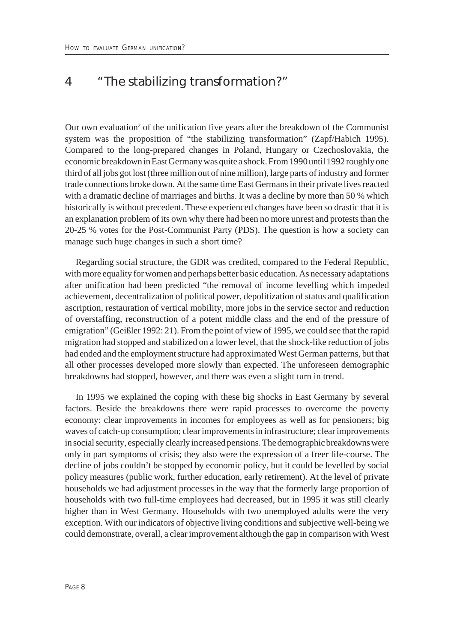#### 4 "The stabilizing transformation?"

Our own evaluation<sup>2</sup> of the unification five years after the breakdown of the Communist system was the proposition of "the stabilizing transformation" (Zapf/Habich 1995). Compared to the long-prepared changes in Poland, Hungary or Czechoslovakia, the economic breakdown in East Germany was quite a shock. From 1990 until 1992 roughly one third of all jobs got lost (three million out of nine million), large parts of industry and former trade connections broke down. At the same time East Germans in their private lives reacted with a dramatic decline of marriages and births. It was a decline by more than 50 % which historically is without precedent. These experienced changes have been so drastic that it is an explanation problem of its own why there had been no more unrest and protests than the 20-25 % votes for the Post-Communist Party (PDS). The question is how a society can manage such huge changes in such a short time?

Regarding social structure, the GDR was credited, compared to the Federal Republic, with more equality for women and perhaps better basic education. As necessary adaptations after unification had been predicted "the removal of income levelling which impeded achievement, decentralization of political power, depolitization of status and qualification ascription, restauration of vertical mobility, more jobs in the service sector and reduction of overstaffing, reconstruction of a potent middle class and the end of the pressure of emigration" (Geißler 1992: 21). From the point of view of 1995, we could see that the rapid migration had stopped and stabilized on a lower level, that the shock-like reduction of jobs had ended and the employment structure had approximated West German patterns, but that all other processes developed more slowly than expected. The unforeseen demographic breakdowns had stopped, however, and there was even a slight turn in trend.

In 1995 we explained the coping with these big shocks in East Germany by several factors. Beside the breakdowns there were rapid processes to overcome the poverty economy: clear improvements in incomes for employees as well as for pensioners; big waves of catch-up consumption; clear improvements in infrastructure; clear improvements in social security, especially clearly increased pensions. The demographic breakdowns were only in part symptoms of crisis; they also were the expression of a freer life-course. The decline of jobs couldn't be stopped by economic policy, but it could be levelled by social policy measures (public work, further education, early retirement). At the level of private households we had adjustment processes in the way that the formerly large proportion of households with two full-time employees had decreased, but in 1995 it was still clearly higher than in West Germany. Households with two unemployed adults were the very exception. With our indicators of objective living conditions and subjective well-being we could demonstrate, overall, a clear improvement although the gap in comparison with West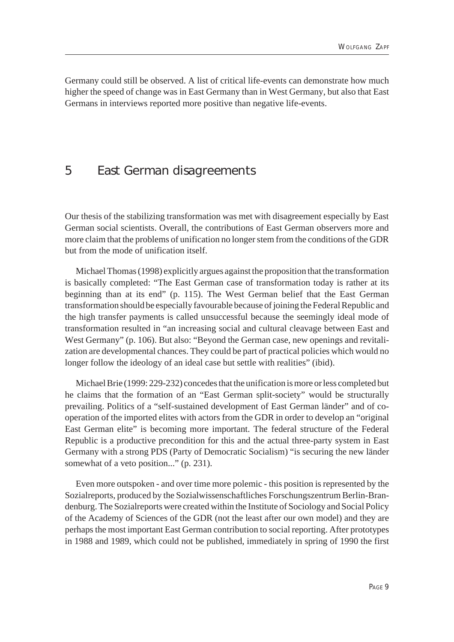Germany could still be observed. A list of critical life-events can demonstrate how much higher the speed of change was in East Germany than in West Germany, but also that East Germans in interviews reported more positive than negative life-events.

#### 5 East German disagreements

Our thesis of the stabilizing transformation was met with disagreement especially by East German social scientists. Overall, the contributions of East German observers more and more claim that the problems of unification no longer stem from the conditions of the GDR but from the mode of unification itself.

Michael Thomas (1998) explicitly argues against the proposition that the transformation is basically completed: "The East German case of transformation today is rather at its beginning than at its end" (p. 115). The West German belief that the East German transformation should be especially favourable because of joining the Federal Republic and the high transfer payments is called unsuccessful because the seemingly ideal mode of transformation resulted in "an increasing social and cultural cleavage between East and West Germany" (p. 106). But also: "Beyond the German case, new openings and revitalization are developmental chances. They could be part of practical policies which would no longer follow the ideology of an ideal case but settle with realities" (ibid).

Michael Brie (1999: 229-232) concedes that the unification is more or less completed but he claims that the formation of an "East German split-society" would be structurally prevailing. Politics of a "self-sustained development of East German länder" and of cooperation of the imported elites with actors from the GDR in order to develop an "original East German elite" is becoming more important. The federal structure of the Federal Republic is a productive precondition for this and the actual three-party system in East Germany with a strong PDS (Party of Democratic Socialism) "is securing the new länder somewhat of a veto position..." (p. 231).

Even more outspoken - and over time more polemic - this position is represented by the Sozialreports, produced by the Sozialwissenschaftliches Forschungszentrum Berlin-Brandenburg. The Sozialreports were created within the Institute of Sociology and Social Policy of the Academy of Sciences of the GDR (not the least after our own model) and they are perhaps the most important East German contribution to social reporting. After prototypes in 1988 and 1989, which could not be published, immediately in spring of 1990 the first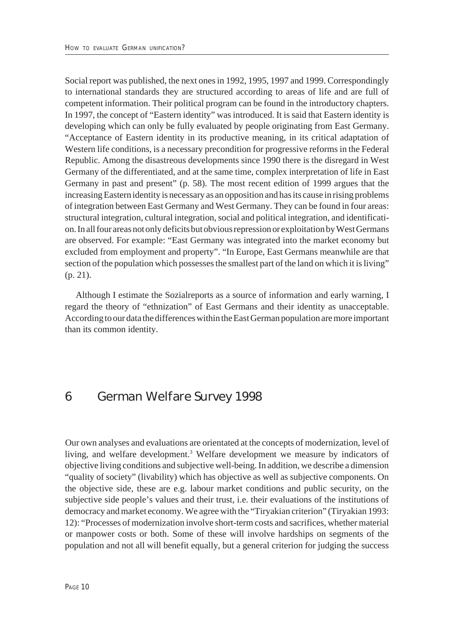Social report was published, the next ones in 1992, 1995, 1997 and 1999. Correspondingly to international standards they are structured according to areas of life and are full of competent information. Their political program can be found in the introductory chapters. In 1997, the concept of "Eastern identity" was introduced. It is said that Eastern identity is developing which can only be fully evaluated by people originating from East Germany. "Acceptance of Eastern identity in its productive meaning, in its critical adaptation of Western life conditions, is a necessary precondition for progressive reforms in the Federal Republic. Among the disastreous developments since 1990 there is the disregard in West Germany of the differentiated, and at the same time, complex interpretation of life in East Germany in past and present" (p. 58). The most recent edition of 1999 argues that the increasing Eastern identity is necessary as an opposition and has its cause in rising problems of integration between East Germany and West Germany. They can be found in four areas: structural integration, cultural integration, social and political integration, and identification. In all four areas not only deficits but obvious repression or exploitation by West Germans are observed. For example: "East Germany was integrated into the market economy but excluded from employment and property". "In Europe, East Germans meanwhile are that section of the population which possesses the smallest part of the land on which it is living" (p. 21).

Although I estimate the Sozialreports as a source of information and early warning, I regard the theory of "ethnization" of East Germans and their identity as unacceptable. According to our data the differences within the East German population are more important than its common identity.

#### 6 German Welfare Survey 1998

Our own analyses and evaluations are orientated at the concepts of modernization, level of living, and welfare development.<sup>3</sup> Welfare development we measure by indicators of objective living conditions and subjective well-being. In addition, we describe a dimension "quality of society" (livability) which has objective as well as subjective components. On the objective side, these are e.g. labour market conditions and public security, on the subjective side people's values and their trust, i.e. their evaluations of the institutions of democracy and market economy. We agree with the "Tiryakian criterion" (Tiryakian 1993: 12): "Processes of modernization involve short-term costs and sacrifices, whether material or manpower costs or both. Some of these will involve hardships on segments of the population and not all will benefit equally, but a general criterion for judging the success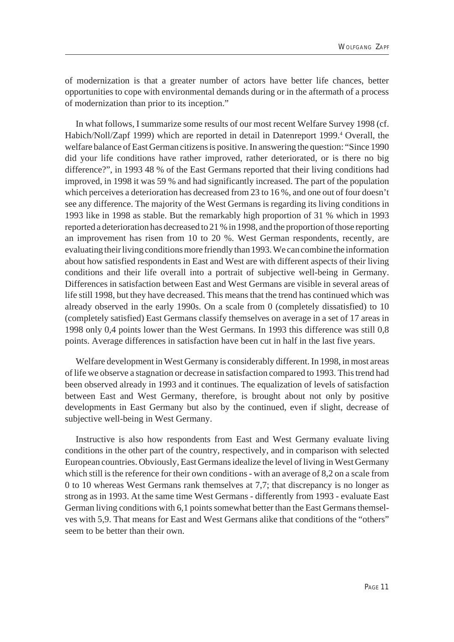of modernization is that a greater number of actors have better life chances, better opportunities to cope with environmental demands during or in the aftermath of a process of modernization than prior to its inception."

In what follows, I summarize some results of our most recent Welfare Survey 1998 (cf. Habich/Noll/Zapf 1999) which are reported in detail in Datenreport 1999.<sup>4</sup> Overall, the welfare balance of East German citizens is positive. In answering the question: "Since 1990 did your life conditions have rather improved, rather deteriorated, or is there no big difference?", in 1993 48 % of the East Germans reported that their living conditions had improved, in 1998 it was 59 % and had significantly increased. The part of the population which perceives a deterioration has decreased from 23 to 16 %, and one out of four doesn't see any difference. The majority of the West Germans is regarding its living conditions in 1993 like in 1998 as stable. But the remarkably high proportion of 31 % which in 1993 reported a deterioration has decreased to 21 % in 1998, and the proportion of those reporting an improvement has risen from 10 to 20 %. West German respondents, recently, are evaluating their living conditions more friendly than 1993. We can combine the information about how satisfied respondents in East and West are with different aspects of their living conditions and their life overall into a portrait of subjective well-being in Germany. Differences in satisfaction between East and West Germans are visible in several areas of life still 1998, but they have decreased. This means that the trend has continued which was already observed in the early 1990s. On a scale from 0 (completely dissatisfied) to 10 (completely satisfied) East Germans classify themselves on average in a set of 17 areas in 1998 only 0,4 points lower than the West Germans. In 1993 this difference was still 0,8 points. Average differences in satisfaction have been cut in half in the last five years.

Welfare development in West Germany is considerably different. In 1998, in most areas of life we observe a stagnation or decrease in satisfaction compared to 1993. This trend had been observed already in 1993 and it continues. The equalization of levels of satisfaction between East and West Germany, therefore, is brought about not only by positive developments in East Germany but also by the continued, even if slight, decrease of subjective well-being in West Germany.

Instructive is also how respondents from East and West Germany evaluate living conditions in the other part of the country, respectively, and in comparison with selected European countries. Obviously, East Germans idealize the level of living in West Germany which still is the reference for their own conditions - with an average of 8,2 on a scale from 0 to 10 whereas West Germans rank themselves at 7,7; that discrepancy is no longer as strong as in 1993. At the same time West Germans - differently from 1993 - evaluate East German living conditions with 6,1 points somewhat better than the East Germans themselves with 5,9. That means for East and West Germans alike that conditions of the "others" seem to be better than their own.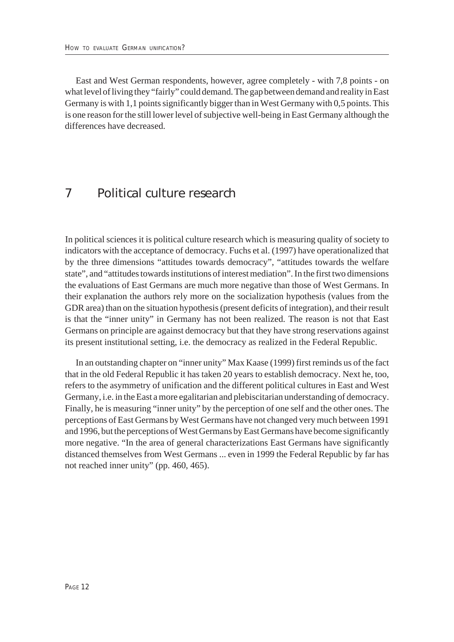East and West German respondents, however, agree completely - with 7,8 points - on what level of living they "fairly" could demand. The gap between demand and reality in East Germany is with 1,1 points significantly bigger than in West Germany with 0,5 points. This is one reason for the still lower level of subjective well-being in East Germany although the differences have decreased.

#### 7 Political culture research

In political sciences it is political culture research which is measuring quality of society to indicators with the acceptance of democracy. Fuchs et al. (1997) have operationalized that by the three dimensions "attitudes towards democracy", "attitudes towards the welfare state", and "attitudes towards institutions of interest mediation". In the first two dimensions the evaluations of East Germans are much more negative than those of West Germans. In their explanation the authors rely more on the socialization hypothesis (values from the GDR area) than on the situation hypothesis (present deficits of integration), and their result is that the "inner unity" in Germany has not been realized. The reason is not that East Germans on principle are against democracy but that they have strong reservations against its present institutional setting, i.e. the democracy as realized in the Federal Republic.

In an outstanding chapter on "inner unity" Max Kaase (1999) first reminds us of the fact that in the old Federal Republic it has taken 20 years to establish democracy. Next he, too, refers to the asymmetry of unification and the different political cultures in East and West Germany, i.e. in the East a more egalitarian and plebiscitarian understanding of democracy. Finally, he is measuring "inner unity" by the perception of one self and the other ones. The perceptions of East Germans by West Germans have not changed very much between 1991 and 1996, but the perceptions of West Germans by East Germans have become significantly more negative. "In the area of general characterizations East Germans have significantly distanced themselves from West Germans ... even in 1999 the Federal Republic by far has not reached inner unity" (pp. 460, 465).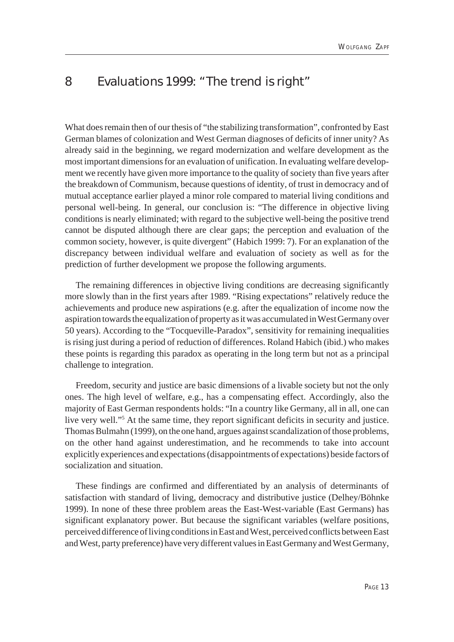#### 8 Evaluations 1999: "The trend is right"

What does remain then of our thesis of "the stabilizing transformation", confronted by East German blames of colonization and West German diagnoses of deficits of inner unity? As already said in the beginning, we regard modernization and welfare development as the most important dimensions for an evaluation of unification. In evaluating welfare development we recently have given more importance to the quality of society than five years after the breakdown of Communism, because questions of identity, of trust in democracy and of mutual acceptance earlier played a minor role compared to material living conditions and personal well-being. In general, our conclusion is: "The difference in objective living conditions is nearly eliminated; with regard to the subjective well-being the positive trend cannot be disputed although there are clear gaps; the perception and evaluation of the common society, however, is quite divergent" (Habich 1999: 7). For an explanation of the discrepancy between individual welfare and evaluation of society as well as for the prediction of further development we propose the following arguments.

The remaining differences in objective living conditions are decreasing significantly more slowly than in the first years after 1989. "Rising expectations" relatively reduce the achievements and produce new aspirations (e.g. after the equalization of income now the aspiration towards the equalization of property as it was accumulated in West Germany over 50 years). According to the "Tocqueville-Paradox", sensitivity for remaining inequalities is rising just during a period of reduction of differences. Roland Habich (ibid.) who makes these points is regarding this paradox as operating in the long term but not as a principal challenge to integration.

Freedom, security and justice are basic dimensions of a livable society but not the only ones. The high level of welfare, e.g., has a compensating effect. Accordingly, also the majority of East German respondents holds: "In a country like Germany, all in all, one can live very well."<sup>5</sup> At the same time, they report significant deficits in security and justice. Thomas Bulmahn (1999), on the one hand, argues against scandalization of those problems, on the other hand against underestimation, and he recommends to take into account explicitly experiences and expectations (disappointments of expectations) beside factors of socialization and situation.

These findings are confirmed and differentiated by an analysis of determinants of satisfaction with standard of living, democracy and distributive justice (Delhey/Böhnke 1999). In none of these three problem areas the East-West-variable (East Germans) has significant explanatory power. But because the significant variables (welfare positions, perceived difference of living conditions in East and West, perceived conflicts between East and West, party preference) have very different values in East Germany and West Germany,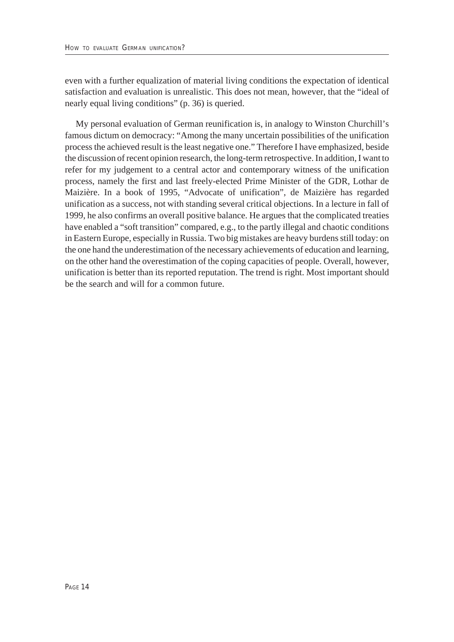even with a further equalization of material living conditions the expectation of identical satisfaction and evaluation is unrealistic. This does not mean, however, that the "ideal of nearly equal living conditions" (p. 36) is queried.

My personal evaluation of German reunification is, in analogy to Winston Churchill's famous dictum on democracy: "Among the many uncertain possibilities of the unification process the achieved result is the least negative one." Therefore I have emphasized, beside the discussion of recent opinion research, the long-term retrospective. In addition, I want to refer for my judgement to a central actor and contemporary witness of the unification process, namely the first and last freely-elected Prime Minister of the GDR, Lothar de Maizière. In a book of 1995, "Advocate of unification", de Maizière has regarded unification as a success, not with standing several critical objections. In a lecture in fall of 1999, he also confirms an overall positive balance. He argues that the complicated treaties have enabled a "soft transition" compared, e.g., to the partly illegal and chaotic conditions in Eastern Europe, especially in Russia. Two big mistakes are heavy burdens still today: on the one hand the underestimation of the necessary achievements of education and learning, on the other hand the overestimation of the coping capacities of people. Overall, however, unification is better than its reported reputation. The trend is right. Most important should be the search and will for a common future.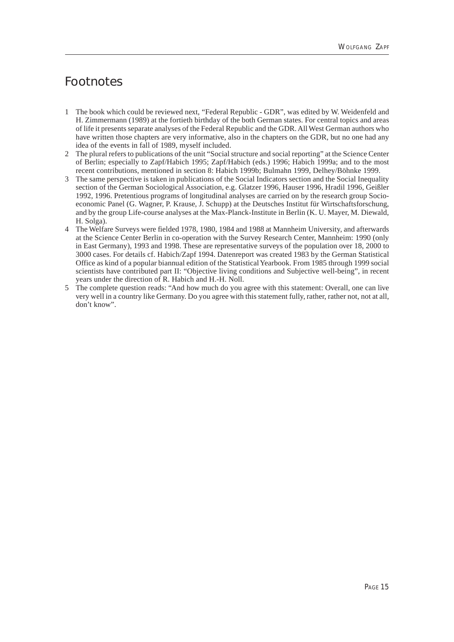## Footnotes

- 1 The book which could be reviewed next, "Federal Republic GDR", was edited by W. Weidenfeld and H. Zimmermann (1989) at the fortieth birthday of the both German states. For central topics and areas of life it presents separate analyses of the Federal Republic and the GDR. All West German authors who have written those chapters are very informative, also in the chapters on the GDR, but no one had any idea of the events in fall of 1989, myself included.
- 2 The plural refers to publications of the unit "Social structure and social reporting" at the Science Center of Berlin; especially to Zapf/Habich 1995; Zapf/Habich (eds.) 1996; Habich 1999a; and to the most recent contributions, mentioned in section 8: Habich 1999b; Bulmahn 1999, Delhey/Böhnke 1999.
- 3 The same perspective is taken in publications of the Social Indicators section and the Social Inequality section of the German Sociological Association, e.g. Glatzer 1996, Hauser 1996, Hradil 1996, Geißler 1992, 1996. Pretentious programs of longitudinal analyses are carried on by the research group Socioeconomic Panel (G. Wagner, P. Krause, J. Schupp) at the Deutsches Institut für Wirtschaftsforschung, and by the group Life-course analyses at the Max-Planck-Institute in Berlin (K. U. Mayer, M. Diewald, H. Solga).
- 4 The Welfare Surveys were fielded 1978, 1980, 1984 and 1988 at Mannheim University, and afterwards at the Science Center Berlin in co-operation with the Survey Research Center, Mannheim: 1990 (only in East Germany), 1993 and 1998. These are representative surveys of the population over 18, 2000 to 3000 cases. For details cf. Habich/Zapf 1994. Datenreport was created 1983 by the German Statistical Office as kind of a popular biannual edition of the Statistical Yearbook. From 1985 through 1999 social scientists have contributed part II: "Objective living conditions and Subjective well-being", in recent years under the direction of R. Habich and H.-H. Noll.
- 5 The complete question reads: "And how much do you agree with this statement: Overall, one can live very well in a country like Germany. Do you agree with this statement fully, rather, rather not, not at all, don't know".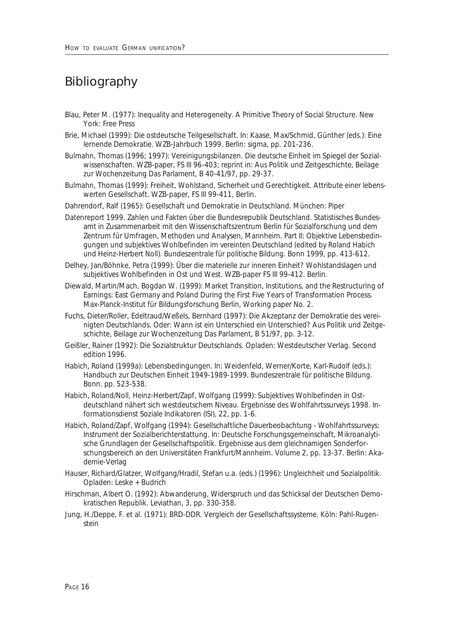## Bibliography

- Blau, Peter M. (1977): Inequality and Heterogeneity. A Primitive Theory of Social Structure. New York: Free Press
- Brie, Michael (1999): Die ostdeutsche Teilgesellschaft. In: Kaase, Max/Schmid, Günther (eds.): Eine lernende Demokratie. WZB-Jahrbuch 1999. Berlin: sigma, pp. 201-236.
- Bulmahn, Thomas (1996; 1997): Vereinigungsbilanzen. Die deutsche Einheit im Spiegel der Sozialwissenschaften. WZB-paper, FS III 96-403; reprint in: Aus Politik und Zeitgeschichte, Beilage zur Wochenzeitung Das Parlament, B 40-41/97, pp. 29-37.
- Bulmahn, Thomas (1999): Freiheit, Wohlstand, Sicherheit und Gerechtigkeit. Attribute einer lebenswerten Gesellschaft. WZB-paper, FS III 99-411, Berlin.
- Dahrendorf, Ralf (1965): Gesellschaft und Demokratie in Deutschland. München: Piper
- Datenreport 1999. Zahlen und Fakten über die Bundesrepublik Deutschland. Statistisches Bundesamt in Zusammenarbeit mit den Wissenschaftszentrum Berlin für Sozialforschung und dem Zentrum für Umfragen, Methoden und Analysen, Mannheim. Part II: Objektive Lebensbedingungen und subjektives Wohlbefinden im vereinten Deutschland (edited by Roland Habich und Heinz-Herbert Noll). Bundeszentrale für politische Bildung. Bonn 1999, pp. 413-612.
- Delhey, Jan/Böhnke, Petra (1999): Über die materielle zur inneren Einheit? Wohlstandslagen und subjektives Wohlbefinden in Ost und West. WZB-paper FS III 99-412. Berlin.
- Diewald, Martin/Mach, Bogdan W. (1999): Market Transition, Institutions, and the Restructuring of Earnings: East Germany and Poland During the First Five Years of Transformation Process. Max-Planck-Institut für Bildungsforschung Berlin, Working paper No. 2.
- Fuchs, Dieter/Roller, Edeltraud/Weßels, Bernhard (1997): Die Akzeptanz der Demokratie des vereinigten Deutschlands. Oder: Wann ist ein Unterschied ein Unterschied? Aus Politik und Zeitgeschichte, Beilage zur Wochenzeitung Das Parlament, B 51/97, pp. 3-12.
- Geißler, Rainer (1992): Die Sozialstruktur Deutschlands. Opladen: Westdeutscher Verlag. Second edition 1996.
- Habich, Roland (1999a): Lebensbedingungen. In: Weidenfeld, Werner/Korte, Karl-Rudolf (eds.): Handbuch zur Deutschen Einheit 1949-1989-1999. Bundeszentrale für politische Bildung. Bonn. pp. 523-538.
- Habich, Roland/Noll, Heinz-Herbert/Zapf, Wolfgang (1999): Subjektives Wohlbefinden in Ostdeutschland nähert sich westdeutschem Niveau. Ergebnisse des Wohlfahrtssurveys 1998. Informationsdienst Soziale Indikatoren (ISI), 22, pp. 1-6.
- Habich, Roland/Zapf, Wolfgang (1994): Gesellschaftliche Dauerbeobachtung Wohlfahrtssurveys: Instrument der Sozialberichterstattung. In: Deutsche Forschungsgemeinschaft, Mikroanalytische Grundlagen der Gesellschaftspolitik. Ergebnisse aus dem gleichnamigen Sonderforschungsbereich an den Universitäten Frankfurt/Mannheim. Volume 2, pp. 13-37. Berlin: Akademie-Verlag
- Hauser, Richard/Glatzer, Wolfgang/Hradil, Stefan u.a. (eds.) (1996): Ungleichheit und Sozialpolitik. Opladen: Leske + Budrich
- Hirschman, Albert O. (1992): Abwanderung, Widerspruch und das Schicksal der Deutschen Demokratischen Republik. Leviathan, 3, pp. 330-358.
- Jung, H./Deppe, F. et al. (1971): BRD-DDR. Vergleich der Gesellschaftssysteme. Köln: Pahl-Rugenstein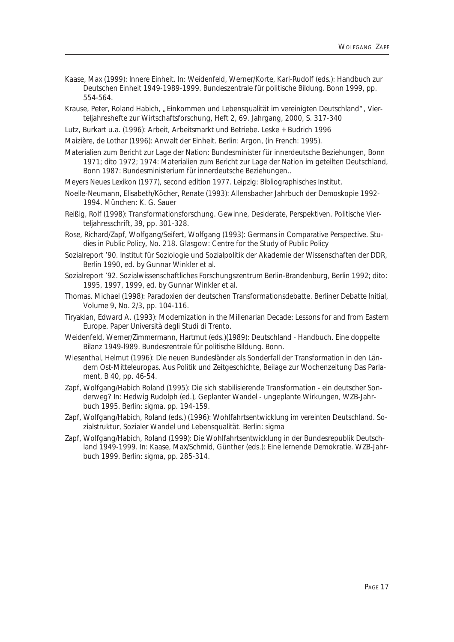- Kaase, Max (1999): Innere Einheit. In: Weidenfeld, Werner/Korte, Karl-Rudolf (eds.): Handbuch zur Deutschen Einheit 1949-1989-1999. Bundeszentrale für politische Bildung. Bonn 1999, pp. 554-564.
- Krause, Peter, Roland Habich, "Einkommen und Lebensqualität im vereinigten Deutschland", Vierteljahreshefte zur Wirtschaftsforschung, Heft 2, 69. Jahrgang, 2000, S. 317-340
- Lutz, Burkart u.a. (1996): Arbeit, Arbeitsmarkt und Betriebe. Leske + Budrich 1996

Maizière, de Lothar (1996): Anwalt der Einheit. Berlin: Argon, (in French: 1995).

- Materialien zum Bericht zur Lage der Nation: Bundesminister für innerdeutsche Beziehungen, Bonn 1971; dito 1972; 1974: Materialien zum Bericht zur Lage der Nation im geteilten Deutschland, Bonn 1987: Bundesministerium für innerdeutsche Beziehungen..
- Meyers Neues Lexikon (1977), second edition 1977. Leipzig: Bibliographisches Institut.
- Noelle-Neumann, Elisabeth/Köcher, Renate (1993): Allensbacher Jahrbuch der Demoskopie 1992- 1994. München: K. G. Sauer
- Reißig, Rolf (1998): Transformationsforschung. Gewinne, Desiderate, Perspektiven. Politische Vierteljahresschrift, 39, pp. 301-328.
- Rose, Richard/Zapf, Wolfgang/Seifert, Wolfgang (1993): Germans in Comparative Perspective. Studies in Public Policy, No. 218. Glasgow: Centre for the Study of Public Policy
- Sozialreport '90. Institut für Soziologie und Sozialpolitik der Akademie der Wissenschaften der DDR, Berlin 1990, ed. by Gunnar Winkler et al.
- Sozialreport '92. Sozialwissenschaftliches Forschungszentrum Berlin-Brandenburg, Berlin 1992; dito: 1995, 1997, 1999, ed. by Gunnar Winkler et al.
- Thomas, Michael (1998): Paradoxien der deutschen Transformationsdebatte. Berliner Debatte Initial, Volume 9, No. 2/3, pp. 104-116.
- Tiryakian, Edward A. (1993): Modernization in the Millenarian Decade: Lessons for and from Eastern Europe. Paper Università degli Studi di Trento.
- Weidenfeld, Werner/Zimmermann, Hartmut (eds.)(1989): Deutschland Handbuch. Eine doppelte Bilanz 1949-l989. Bundeszentrale für politische Bildung. Bonn.
- Wiesenthal, Helmut (1996): Die neuen Bundesländer als Sonderfall der Transformation in den Ländern Ost-Mitteleuropas. Aus Politik und Zeitgeschichte, Beilage zur Wochenzeitung Das Parlament, B 40, pp. 46-54.
- Zapf, Wolfgang/Habich Roland (1995): Die sich stabilisierende Transformation ein deutscher Sonderweg? In: Hedwig Rudolph (ed.), Geplanter Wandel - ungeplante Wirkungen, WZB-Jahrbuch 1995. Berlin: sigma. pp. 194-159.
- Zapf, Wolfgang/Habich, Roland (eds.) (1996): Wohlfahrtsentwicklung im vereinten Deutschland. Sozialstruktur, Sozialer Wandel und Lebensqualität. Berlin: sigma
- Zapf, Wolfgang/Habich, Roland (1999): Die Wohlfahrtsentwicklung in der Bundesrepublik Deutschland 1949-1999. In: Kaase, Max/Schmid, Günther (eds.): Eine lernende Demokratie. WZB-Jahrbuch 1999. Berlin: sigma, pp. 285-314.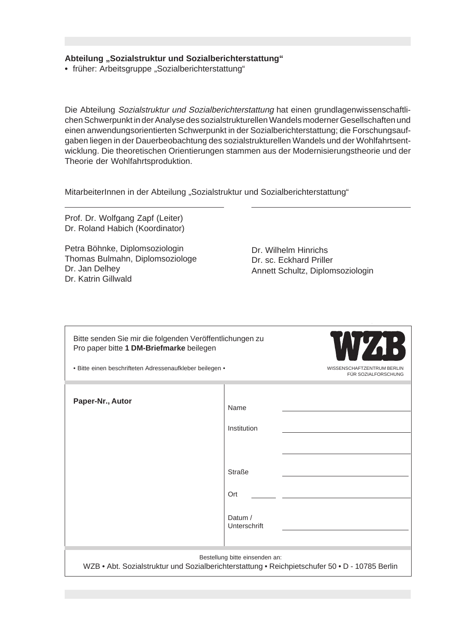#### Abteilung "Sozialstruktur und Sozialberichterstattung"

• früher: Arbeitsgruppe "Sozialberichterstattung"

Die Abteilung Sozialstruktur und Sozialberichterstattung hat einen grundlagenwissenschaftlichen Schwerpunkt in der Analyse des sozialstrukturellen Wandels moderner Gesellschaften und einen anwendungsorientierten Schwerpunkt in der Sozialberichterstattung; die Forschungsaufgaben liegen in der Dauerbeobachtung des sozialstrukturellen Wandels und der Wohlfahrtsentwicklung. Die theoretischen Orientierungen stammen aus der Modernisierungstheorie und der Theorie der Wohlfahrtsproduktion.

MitarbeiterInnen in der Abteilung "Sozialstruktur und Sozialberichterstattung"

Prof. Dr. Wolfgang Zapf (Leiter) Dr. Roland Habich (Koordinator)

Petra Böhnke, Diplomsoziologin Thomas Bulmahn, Diplomsoziologe Dr. Jan Delhey Dr. Katrin Gillwald

Dr. Wilhelm Hinrichs Dr. sc. Eckhard Priller Annett Schultz, Diplomsoziologin

| Bitte senden Sie mir die folgenden Veröffentlichungen zu<br>Pro paper bitte 1 DM-Briefmarke beilegen<br>• Bitte einen beschrifteten Adressenaufkleber beilegen • |                                                                        | WYA:<br>WISSENSCHAFTZENTRUM BERLIN<br>FÜR SOZIALFORSCHUNG |
|------------------------------------------------------------------------------------------------------------------------------------------------------------------|------------------------------------------------------------------------|-----------------------------------------------------------|
| Paper-Nr., Autor                                                                                                                                                 | Name<br>Institution<br><b>Straße</b><br>Ort<br>Datum /<br>Unterschrift |                                                           |
| Bestellung bitte einsenden an:<br>WZB • Abt. Sozialstruktur und Sozialberichterstattung • Reichpietschufer 50 • D - 10785 Berlin                                 |                                                                        |                                                           |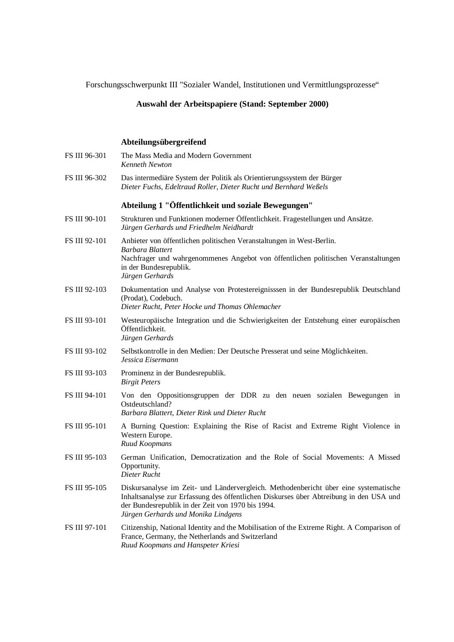Forschungsschwerpunkt III "Sozialer Wandel, Institutionen und Vermittlungsprozesse"

#### **Auswahl der Arbeitspapiere (Stand: September 2000)**

#### **Abteilungsübergreifend**

| FS III 96-301 | The Mass Media and Modern Government<br><b>Kenneth Newton</b>                                                                                                                                                                                                              |
|---------------|----------------------------------------------------------------------------------------------------------------------------------------------------------------------------------------------------------------------------------------------------------------------------|
| FS III 96-302 | Das intermediäre System der Politik als Orientierungssystem der Bürger<br>Dieter Fuchs, Edeltraud Roller, Dieter Rucht und Bernhard Weßels                                                                                                                                 |
|               | Abteilung 1 "Öffentlichkeit und soziale Bewegungen"                                                                                                                                                                                                                        |
| FS III 90-101 | Strukturen und Funktionen moderner Öffentlichkeit. Fragestellungen und Ansätze.<br>Jürgen Gerhards und Friedhelm Neidhardt                                                                                                                                                 |
| FS III 92-101 | Anbieter von öffentlichen politischen Veranstaltungen in West-Berlin.<br>Barbara Blattert<br>Nachfrager und wahrgenommenes Angebot von öffentlichen politischen Veranstaltungen<br>in der Bundesrepublik.<br>Jürgen Gerhards                                               |
| FS III 92-103 | Dokumentation und Analyse von Protestereignisssen in der Bundesrepublik Deutschland<br>(Prodat), Codebuch.<br>Dieter Rucht, Peter Hocke und Thomas Ohlemacher                                                                                                              |
| FS III 93-101 | Westeuropäische Integration und die Schwierigkeiten der Entstehung einer europäischen<br>Öffentlichkeit.<br>Jürgen Gerhards                                                                                                                                                |
| FS III 93-102 | Selbstkontrolle in den Medien: Der Deutsche Presserat und seine Möglichkeiten.<br>Jessica Eisermann                                                                                                                                                                        |
| FS III 93-103 | Prominenz in der Bundesrepublik.<br><b>Birgit Peters</b>                                                                                                                                                                                                                   |
| FS III 94-101 | Von den Oppositionsgruppen der DDR zu den neuen sozialen Bewegungen in<br>Ostdeutschland?<br>Barbara Blattert, Dieter Rink und Dieter Rucht                                                                                                                                |
| FS III 95-101 | A Burning Question: Explaining the Rise of Racist and Extreme Right Violence in<br>Western Europe.<br>Ruud Koopmans                                                                                                                                                        |
| FS III 95-103 | German Unification, Democratization and the Role of Social Movements: A Missed<br>Opportunity.<br>Dieter Rucht                                                                                                                                                             |
| FS III 95-105 | Diskursanalyse im Zeit- und Ländervergleich. Methodenbericht über eine systematische<br>Inhaltsanalyse zur Erfassung des öffentlichen Diskurses über Abtreibung in den USA und<br>der Bundesrepublik in der Zeit von 1970 bis 1994.<br>Jürgen Gerhards und Monika Lindgens |
| FS III 97-101 | Citizenship, National Identity and the Mobilisation of the Extreme Right. A Comparison of<br>France, Germany, the Netherlands and Switzerland<br>Ruud Koopmans and Hanspeter Kriesi                                                                                        |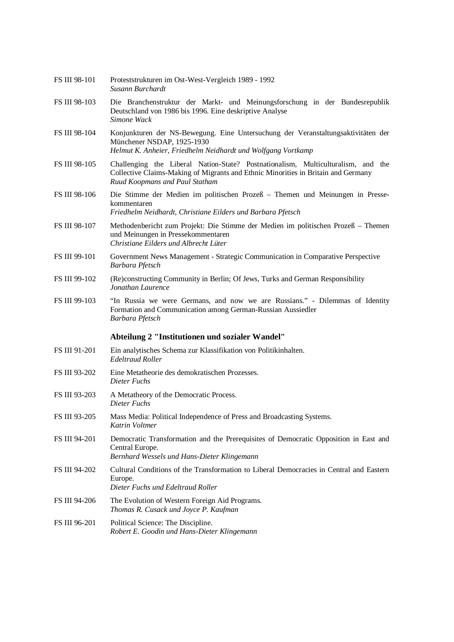|               | Susann Burchardt                                                                                                                                                                                        |
|---------------|---------------------------------------------------------------------------------------------------------------------------------------------------------------------------------------------------------|
| FS III 98-103 | Die Branchenstruktur der Markt- und Meinungsforschung in der Bundesrepublik<br>Deutschland von 1986 bis 1996. Eine deskriptive Analyse<br>Simone Wack                                                   |
| FS III 98-104 | Konjunkturen der NS-Bewegung. Eine Untersuchung der Veranstaltungsaktivitäten der<br>Münchener NSDAP, 1925-1930<br>Helmut K. Anheier, Friedhelm Neidhardt und Wolfgang Vortkamp                         |
| FS III 98-105 | Challenging the Liberal Nation-State? Postnationalism, Multiculturalism, and the<br>Collective Claims-Making of Migrants and Ethnic Minorities in Britain and Germany<br>Ruud Koopmans and Paul Statham |
| FS III 98-106 | Die Stimme der Medien im politischen Prozeß – Themen und Meinungen in Presse-<br>kommentaren<br>Friedhelm Neidhardt, Christiane Eilders und Barbara Pfetsch                                             |
| FS III 98-107 | Methodenbericht zum Projekt: Die Stimme der Medien im politischen Prozeß – Themen<br>und Meinungen in Pressekommentaren<br>Christiane Eilders und Albrecht Lüter                                        |
| FS III 99-101 | Government News Management - Strategic Communication in Comparative Perspective<br>Barbara Pfetsch                                                                                                      |
| FS III 99-102 | (Re)constructing Community in Berlin; Of Jews, Turks and German Responsibility<br>Jonathan Laurence                                                                                                     |
| FS III 99-103 | "In Russia we were Germans, and now we are Russians." - Dilemmas of Identity<br>Formation and Communication among German-Russian Aussiedler<br>Barbara Pfetsch                                          |
|               | Abteilung 2 "Institutionen und sozialer Wandel"                                                                                                                                                         |
| FS III 91-201 | Ein analytisches Schema zur Klassifikation von Politikinhalten.<br><b>Edeltraud Roller</b>                                                                                                              |
| FS III 93-202 | Eine Metatheorie des demokratischen Prozesses.<br>Dieter Fuchs                                                                                                                                          |
| FS III 93-203 | A Metatheory of the Democratic Process.<br>Dieter Fuchs                                                                                                                                                 |
| FS III 93-205 | Mass Media: Political Independence of Press and Broadcasting Systems.<br>Katrin Voltmer                                                                                                                 |
| FS III 94-201 | Democratic Transformation and the Prerequisites of Democratic Opposition in East and<br>Central Europe.<br>Bernhard Wessels und Hans-Dieter Klingemann                                                  |
| FS III 94-202 | Cultural Conditions of the Transformation to Liberal Democracies in Central and Eastern<br>Europe.<br>Dieter Fuchs und Edeltraud Roller                                                                 |
| FS III 94-206 | The Evolution of Western Foreign Aid Programs.<br>Thomas R. Cusack und Joyce P. Kaufman                                                                                                                 |
| FS III 96-201 | Political Science: The Discipline.<br>Robert E. Goodin und Hans-Dieter Klingemann                                                                                                                       |

FS III 98-101 Proteststrukturen im Ost-West-Vergleich 1989 - 1992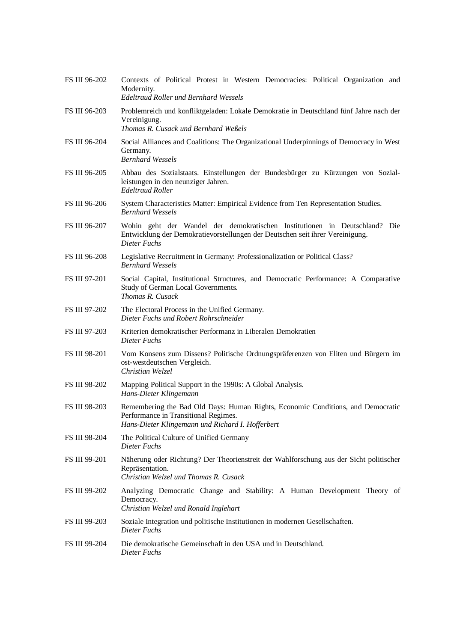| FS III 96-202 | Contexts of Political Protest in Western Democracies: Political Organization and<br>Modernity.<br><b>Edeltraud Roller und Bernhard Wessels</b>                              |
|---------------|-----------------------------------------------------------------------------------------------------------------------------------------------------------------------------|
| FS III 96-203 | Problemreich und konfliktgeladen: Lokale Demokratie in Deutschland fünf Jahre nach der<br>Vereinigung.<br>Thomas R. Cusack und Bernhard Weßels                              |
| FS III 96-204 | Social Alliances and Coalitions: The Organizational Underpinnings of Democracy in West<br>Germany.<br><b>Bernhard Wessels</b>                                               |
| FS III 96-205 | Abbau des Sozialstaats. Einstellungen der Bundesbürger zu Kürzungen von Sozial-<br>leistungen in den neunziger Jahren.<br><b>Edeltraud Roller</b>                           |
| FS III 96-206 | System Characteristics Matter: Empirical Evidence from Ten Representation Studies.<br><b>Bernhard Wessels</b>                                                               |
| FS III 96-207 | Wohin geht der Wandel der demokratischen Institutionen in Deutschland? Die<br>Entwicklung der Demokratievorstellungen der Deutschen seit ihrer Vereinigung.<br>Dieter Fuchs |
| FS III 96-208 | Legislative Recruitment in Germany: Professionalization or Political Class?<br><b>Bernhard Wessels</b>                                                                      |
| FS III 97-201 | Social Capital, Institutional Structures, and Democratic Performance: A Comparative<br>Study of German Local Governments.<br>Thomas R. Cusack                               |
| FS III 97-202 | The Electoral Process in the Unified Germany.<br>Dieter Fuchs und Robert Rohrschneider                                                                                      |
| FS III 97-203 | Kriterien demokratischer Performanz in Liberalen Demokratien<br>Dieter Fuchs                                                                                                |
| FS III 98-201 | Vom Konsens zum Dissens? Politische Ordnungspräferenzen von Eliten und Bürgern im<br>ost-westdeutschen Vergleich.<br>Christian Welzel                                       |
| FS III 98-202 | Mapping Political Support in the 1990s: A Global Analysis.<br>Hans-Dieter Klingemann                                                                                        |
| FS III 98-203 | Remembering the Bad Old Days: Human Rights, Economic Conditions, and Democratic<br>Performance in Transitional Regimes.<br>Hans-Dieter Klingemann und Richard I. Hofferbert |
| FS III 98-204 | The Political Culture of Unified Germany<br>Dieter Fuchs                                                                                                                    |
| FS III 99-201 | Näherung oder Richtung? Der Theorienstreit der Wahlforschung aus der Sicht politischer<br>Repräsentation.<br>Christian Welzel und Thomas R. Cusack                          |
| FS III 99-202 | Analyzing Democratic Change and Stability: A Human Development Theory of<br>Democracy.<br>Christian Welzel und Ronald Inglehart                                             |
| FS III 99-203 | Soziale Integration und politische Institutionen in modernen Gesellschaften.<br>Dieter Fuchs                                                                                |
| FS III 99-204 | Die demokratische Gemeinschaft in den USA und in Deutschland.<br>Dieter Fuchs                                                                                               |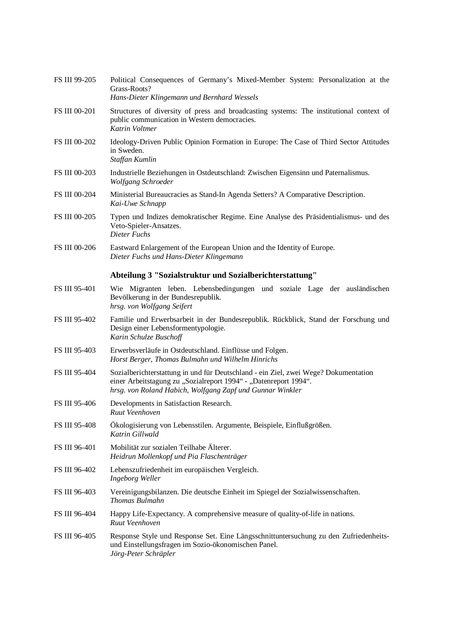| <b>FS III 99-205</b> | Political Consequences of Germany's Mixed-Member System: Personalization at the<br>Grass-Roots?<br>Hans-Dieter Klingemann und Bernhard Wessels                                                                       |
|----------------------|----------------------------------------------------------------------------------------------------------------------------------------------------------------------------------------------------------------------|
| <b>FS III 00-201</b> | Structures of diversity of press and broadcasting systems: The institutional context of<br>public communication in Western democracies.<br>Katrin Voltmer                                                            |
| FS III 00-202        | Ideology-Driven Public Opinion Formation in Europe: The Case of Third Sector Attitudes<br>in Sweden.<br>Staffan Kumlin                                                                                               |
| FS III 00-203        | Industrielle Beziehungen in Ostdeutschland: Zwischen Eigensinn und Paternalismus.<br>Wolfgang Schroeder                                                                                                              |
| FS III 00-204        | Ministerial Bureaucracies as Stand-In Agenda Setters? A Comparative Description.<br>Kai-Uwe Schnapp                                                                                                                  |
| FS III 00-205        | Typen und Indizes demokratischer Regime. Eine Analyse des Präsidentialismus- und des<br>Veto-Spieler-Ansatzes.<br>Dieter Fuchs                                                                                       |
| <b>FS III 00-206</b> | Eastward Enlargement of the European Union and the Identity of Europe.<br>Dieter Fuchs und Hans-Dieter Klingemann                                                                                                    |
|                      | Abteilung 3 "Sozialstruktur und Sozialberichterstattung"                                                                                                                                                             |
| FS III 95-401        | Wie Migranten leben. Lebensbedingungen und soziale Lage der ausländischen<br>Bevölkerung in der Bundesrepublik.<br>hrsg. von Wolfgang Seifert                                                                        |
| FS III 95-402        | Familie und Erwerbsarbeit in der Bundesrepublik. Rückblick, Stand der Forschung und<br>Design einer Lebensformentypologie.<br>Karin Schulze Buschoff                                                                 |
| FS III 95-403        | Erwerbsverläufe in Ostdeutschland. Einflüsse und Folgen.<br>Horst Berger, Thomas Bulmahn und Wilhelm Hinrichs                                                                                                        |
| FS III 95-404        | Sozialberichterstattung in und für Deutschland - ein Ziel, zwei Wege? Dokumentation<br>einer Arbeitstagung zu "Sozialreport 1994" - "Datenreport 1994".<br>hrsg. von Roland Habich, Wolfgang Zapf und Gunnar Winkler |
| FS III 95-406        | Developments in Satisfaction Research.<br>Ruut Veenhoven                                                                                                                                                             |
| FS III 95-408        | Ökologisierung von Lebensstilen. Argumente, Beispiele, Einflußgrößen.<br>Katrin Gillwald                                                                                                                             |
| FS III 96-401        | Mobilität zur sozialen Teilhabe Älterer.<br>Heidrun Mollenkopf und Pia Flaschenträger                                                                                                                                |
| FS III 96-402        | Lebenszufriedenheit im europäischen Vergleich.<br><b>Ingeborg Weller</b>                                                                                                                                             |
| FS III 96-403        | Vereinigungsbilanzen. Die deutsche Einheit im Spiegel der Sozialwissenschaften.<br>Thomas Bulmahn                                                                                                                    |
| FS III 96-404        | Happy Life-Expectancy. A comprehensive measure of quality-of-life in nations.<br>Ruut Veenhoven                                                                                                                      |
| FS III 96-405        | Response Style und Response Set. Eine Längsschnittuntersuchung zu den Zufriedenheits-<br>und Einstellungsfragen im Sozio-ökonomischen Panel.<br>Jörg-Peter Schräpler                                                 |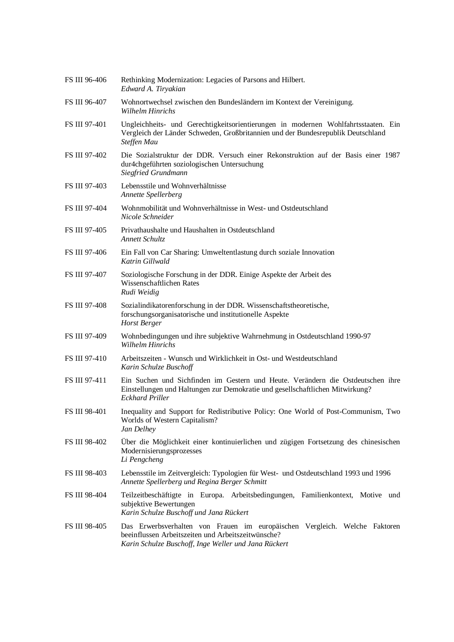| FS III 96-406 | Rethinking Modernization: Legacies of Parsons and Hilbert.<br>Edward A. Tiryakian                                                                                                          |
|---------------|--------------------------------------------------------------------------------------------------------------------------------------------------------------------------------------------|
| FS III 96-407 | Wohnortwechsel zwischen den Bundesländern im Kontext der Vereinigung.<br><b>Wilhelm Hinrichs</b>                                                                                           |
| FS III 97-401 | Ungleichheits- und Gerechtigkeitsorientierungen in modernen Wohlfahrtsstaaten. Ein<br>Vergleich der Länder Schweden, Großbritannien und der Bundesrepublik Deutschland<br>Steffen Mau      |
| FS III 97-402 | Die Sozialstruktur der DDR. Versuch einer Rekonstruktion auf der Basis einer 1987<br>dur4chgeführten soziologischen Untersuchung<br>Siegfried Grundmann                                    |
| FS III 97-403 | Lebensstile und Wohnverhältnisse<br>Annette Spellerberg                                                                                                                                    |
| FS III 97-404 | Wohnmobilität und Wohnverhältnisse in West- und Ostdeutschland<br>Nicole Schneider                                                                                                         |
| FS III 97-405 | Privathaushalte und Haushalten in Ostdeutschland<br>Annett Schultz                                                                                                                         |
| FS III 97-406 | Ein Fall von Car Sharing: Umweltentlastung durch soziale Innovation<br>Katrin Gillwald                                                                                                     |
| FS III 97-407 | Soziologische Forschung in der DDR. Einige Aspekte der Arbeit des<br>Wissenschaftlichen Rates<br>Rudi Weidig                                                                               |
| FS III 97-408 | Sozialindikatorenforschung in der DDR. Wissenschaftstheoretische,<br>forschungsorganisatorische und institutionelle Aspekte<br>Horst Berger                                                |
| FS III 97-409 | Wohnbedingungen und ihre subjektive Wahrnehmung in Ostdeutschland 1990-97<br><b>Wilhelm Hinrichs</b>                                                                                       |
| FS III 97-410 | Arbeitszeiten - Wunsch und Wirklichkeit in Ost- und Westdeutschland<br>Karin Schulze Buschoff                                                                                              |
| FS III 97-411 | Ein Suchen und Sichfinden im Gestern und Heute. Verändern die Ostdeutschen ihre<br>Einstellungen und Haltungen zur Demokratie und gesellschaftlichen Mitwirkung?<br><b>Eckhard Priller</b> |
| FS III 98-401 | Inequality and Support for Redistributive Policy: One World of Post-Communism, Two<br>Worlds of Western Capitalism?<br>Jan Delhey                                                          |
| FS III 98-402 | Über die Möglichkeit einer kontinuierlichen und zügigen Fortsetzung des chinesischen<br>Modernisierungsprozesses<br>Li Pengcheng                                                           |
| FS III 98-403 | Lebensstile im Zeitvergleich: Typologien für West- und Ostdeutschland 1993 und 1996<br>Annette Spellerberg und Regina Berger Schmitt                                                       |
| FS III 98-404 | Teilzeitbeschäftigte in Europa. Arbeitsbedingungen, Familienkontext, Motive und<br>subjektive Bewertungen<br>Karin Schulze Buschoff und Jana Rückert                                       |
| FS III 98-405 | Das Erwerbsverhalten von Frauen im europäischen Vergleich. Welche Faktoren<br>beeinflussen Arbeitszeiten und Arbeitszeitwünsche?<br>Karin Schulze Buschoff, Inge Weller und Jana Rückert   |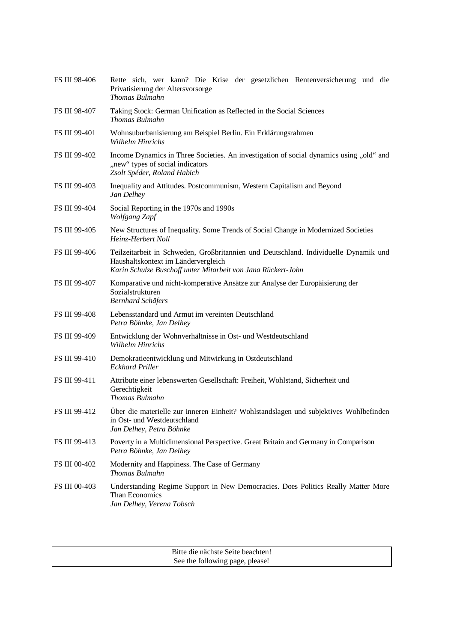| FS III 98-406        | Rette sich, wer kann? Die Krise der gesetzlichen Rentenversicherung und die<br>Privatisierung der Altersvorsorge<br>Thomas Bulmahn                                                          |
|----------------------|---------------------------------------------------------------------------------------------------------------------------------------------------------------------------------------------|
| FS III 98-407        | Taking Stock: German Unification as Reflected in the Social Sciences<br>Thomas Bulmahn                                                                                                      |
| FS III 99-401        | Wohnsuburbanisierung am Beispiel Berlin. Ein Erklärungsrahmen<br>Wilhelm Hinrichs                                                                                                           |
| FS III 99-402        | Income Dynamics in Three Societies. An investigation of social dynamics using "old" and<br>"new" types of social indicators<br>Zsolt Spéder, Roland Habich                                  |
| FS III 99-403        | Inequality and Attitudes. Postcommunism, Western Capitalism and Beyond<br>Jan Delhey                                                                                                        |
| FS III 99-404        | Social Reporting in the 1970s and 1990s<br>Wolfgang Zapf                                                                                                                                    |
| FS III 99-405        | New Structures of Inequality. Some Trends of Social Change in Modernized Societies<br>Heinz-Herbert Noll                                                                                    |
| FS III 99-406        | Teilzeitarbeit in Schweden, Großbritannien und Deutschland. Individuelle Dynamik und<br>Haushaltskontext im Ländervergleich<br>Karin Schulze Buschoff unter Mitarbeit von Jana Rückert-John |
| FS III 99-407        | Komparative und nicht-komperative Ansätze zur Analyse der Europäisierung der<br>Sozialstrukturen<br><b>Bernhard Schäfers</b>                                                                |
| <b>FS III 99-408</b> | Lebensstandard und Armut im vereinten Deutschland<br>Petra Böhnke, Jan Delhey                                                                                                               |
| FS III 99-409        | Entwicklung der Wohnverhältnisse in Ost- und Westdeutschland<br><b>Wilhelm Hinrichs</b>                                                                                                     |
| FS III 99-410        | Demokratieentwicklung und Mitwirkung in Ostdeutschland<br><b>Eckhard Priller</b>                                                                                                            |
| FS III 99-411        | Attribute einer lebenswerten Gesellschaft: Freiheit, Wohlstand, Sicherheit und<br>Gerechtigkeit<br>Thomas Bulmahn                                                                           |
| FS III 99-412        | Über die materielle zur inneren Einheit? Wohlstandslagen und subjektives Wohlbefinden<br>in Ost- und Westdeutschland<br>Jan Delhey, Petra Böhnke                                            |
| FS III 99-413        | Poverty in a Multidimensional Perspective. Great Britain and Germany in Comparison<br>Petra Böhnke, Jan Delhey                                                                              |
| FS III 00-402        | Modernity and Happiness. The Case of Germany<br>Thomas Bulmahn                                                                                                                              |
| FS III 00-403        | Understanding Regime Support in New Democracies. Does Politics Really Matter More<br>Than Economics<br>Jan Delhey, Verena Tobsch                                                            |

| Bitte die nächste Seite beachten! |
|-----------------------------------|
| See the following page, please!   |